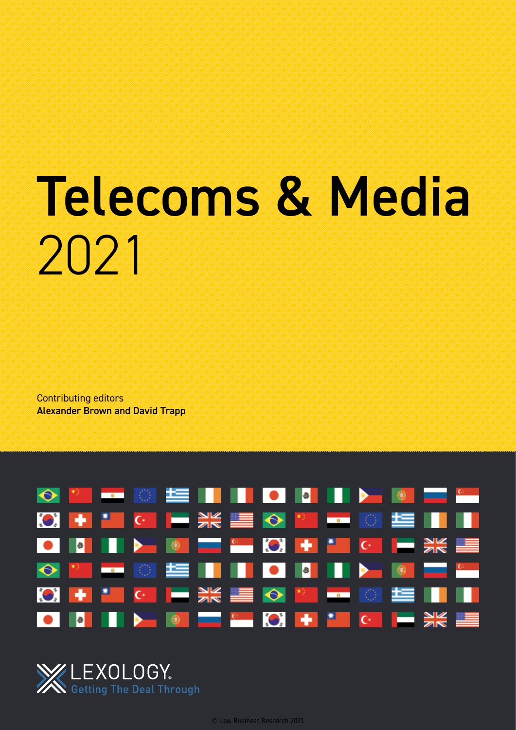# Telecoms & Media 2021

Contributing editors Alexander Brown and David Trapp



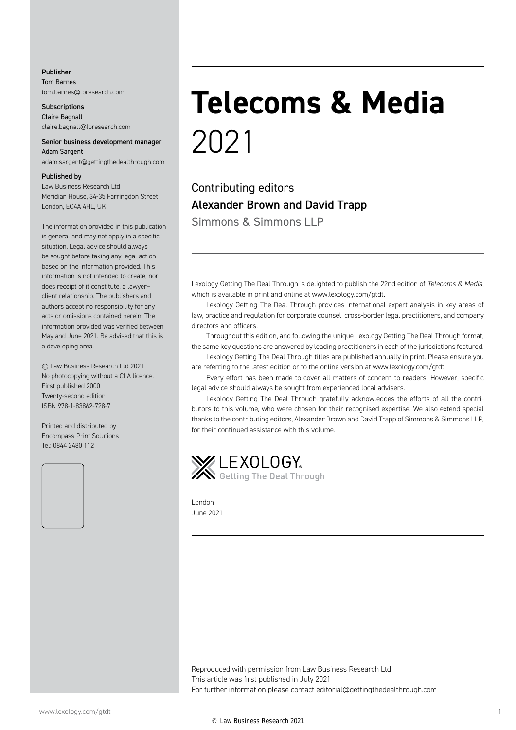#### Publisher Tom Barnes tom.barnes@lbresearch.com

**Subscriptions** Claire Bagnall claire.bagnall@lbresearch.com

#### Senior business development manager Adam Sargent

adam.sargent@gettingthedealthrough.com

#### Published by

Law Business Research Ltd Meridian House, 34-35 Farringdon Street London, EC4A 4HL, UK

The information provided in this publication is general and may not apply in a specific situation. Legal advice should always be sought before taking any legal action based on the information provided. This information is not intended to create, nor does receipt of it constitute, a lawyer– client relationship. The publishers and authors accept no responsibility for any acts or omissions contained herein. The information provided was verified between May and June 2021. Be advised that this is a developing area.

© Law Business Research Ltd 2021 No photocopying without a CLA licence. First published 2000 Twenty-second edition ISBN 978-1-83862-728-7

Printed and distributed by Encompass Print Solutions Tel: 0844 2480 112



# **Telecoms & Media** 2021

Contributing editors Alexander Brown and David Trapp Simmons & Simmons LLP

Lexology Getting The Deal Through is delighted to publish the 22nd edition of *Telecoms & Media*, which is available in print and online at www.lexology.com/gtdt.

Lexology Getting The Deal Through provides international expert analysis in key areas of law, practice and regulation for corporate counsel, cross-border legal practitioners, and company directors and officers.

Throughout this edition, and following the unique Lexology Getting The Deal Through format, the same key questions are answered by leading practitioners in each of the jurisdictions featured.

Lexology Getting The Deal Through titles are published annually in print. Please ensure you are referring to the latest edition or to the online version at www.lexology.com/gtdt.

Every effort has been made to cover all matters of concern to readers. However, specific legal advice should always be sought from experienced local advisers.

Lexology Getting The Deal Through gratefully acknowledges the efforts of all the contributors to this volume, who were chosen for their recognised expertise. We also extend special thanks to the contributing editors, Alexander Brown and David Trapp of Simmons & Simmons LLP, for their continued assistance with this volume.



London June 2021

Reproduced with permission from Law Business Research Ltd This article was first published in July 2021 For further information please contact editorial@gettingthedealthrough.com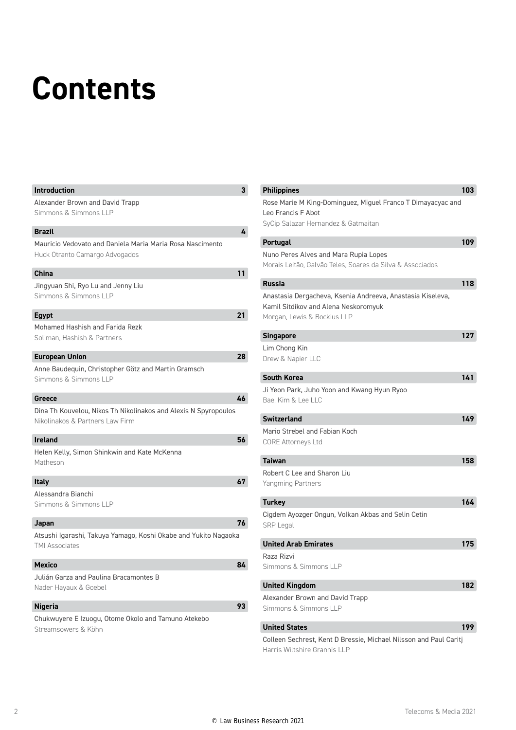## **Contents**

| <b>Introduction</b>                                                                                | 3  |
|----------------------------------------------------------------------------------------------------|----|
| Alexander Brown and David Trapp<br>Simmons & Simmons LLP                                           |    |
| <b>Brazil</b>                                                                                      | 4  |
| Mauricio Vedovato and Daniela Maria Maria Rosa Nascimento<br>Huck Otranto Camargo Advogados        |    |
| <b>China</b>                                                                                       | 11 |
| Jingyuan Shi, Ryo Lu and Jenny Liu<br>Simmons & Simmons LLP                                        |    |
| <b>Egypt</b>                                                                                       | 21 |
| Mohamed Hashish and Farida Rezk<br>Soliman, Hashish & Partners                                     |    |
| <b>European Union</b>                                                                              | 28 |
| Anne Baudeguin, Christopher Götz and Martin Gramsch<br>Simmons & Simmons LLP                       |    |
| Greece                                                                                             | 46 |
| Dina Th Kouvelou, Nikos Th Nikolinakos and Alexis N Spyropoulos<br>Nikolinakos & Partners Law Firm |    |
| <b>Ireland</b>                                                                                     | 56 |
| Helen Kelly, Simon Shinkwin and Kate McKenna<br>Matheson                                           |    |
| <b>Italy</b>                                                                                       | 67 |
| Alessandra Bianchi<br>Simmons & Simmons LLP                                                        |    |
| Japan                                                                                              | 76 |
| Atsushi Igarashi, Takuya Yamago, Koshi Okabe and Yukito Nagaoka<br><b>TMI Associates</b>           |    |
| <b>Mexico</b>                                                                                      | 84 |
| Julián Garza and Paulina Bracamontes B<br>Nader Hayaux & Goebel                                    |    |
| <b>Nigeria</b>                                                                                     | 93 |
| Chukwuyere E Izuogu, Otome Okolo and Tamuno Atekebo<br>Streamsowers & Köhn                         |    |

| <b>Philippines</b>                                                                                                                | 103 |
|-----------------------------------------------------------------------------------------------------------------------------------|-----|
| Rose Marie M King-Dominguez, Miguel Franco T Dimayacyac and<br>Leo Francis F Abot                                                 |     |
| SyCip Salazar Hernandez & Gatmaitan                                                                                               |     |
| <b>Portugal</b>                                                                                                                   | 109 |
| Nuno Peres Alves and Mara Rupia Lopes<br>Morais Leitão, Galvão Teles, Soares da Silva & Associados                                |     |
| <b>Russia</b>                                                                                                                     | 118 |
| Anastasia Dergacheva, Ksenia Andreeva, Anastasia Kiseleva,<br>Kamil Sitdikov and Alena Neskoromyuk<br>Morgan, Lewis & Bockius LLP |     |
| Singapore                                                                                                                         | 127 |
| Lim Chong Kin<br>Drew & Napier LLC                                                                                                |     |
| <b>South Korea</b>                                                                                                                | 141 |
| Ji Yeon Park, Juho Yoon and Kwang Hyun Ryoo<br>Bae, Kim & Lee LLC                                                                 |     |
| <b>Switzerland</b>                                                                                                                | 149 |
| Mario Strebel and Fabian Koch<br><b>CORE Attorneys Ltd</b>                                                                        |     |
| Taiwan                                                                                                                            | 158 |
| Robert C Lee and Sharon Liu<br><b>Yangming Partners</b>                                                                           |     |
| <b>Turkey</b>                                                                                                                     | 164 |
| Cigdem Ayozger Ongun, Volkan Akbas and Selin Cetin<br><b>SRP Legal</b>                                                            |     |
| <b>United Arab Emirates</b>                                                                                                       | 175 |
| Raza Rizvi<br>Simmons & Simmons II P                                                                                              |     |
| <b>United Kingdom</b>                                                                                                             | 182 |
| Alexander Brown and David Trapp<br>Simmons & Simmons LLP                                                                          |     |
| <b>United States</b>                                                                                                              | 199 |
| $\sim$ $\sim$ $\sim$ $\sim$ $\sim$ $\sim$<br>D. Proccio<br>Michn<br>MH                                                            |     |

Colleen Sechrest, Kent D Bressie, Michael Nilsson and Paul Caritj Harris Wiltshire Grannis LLP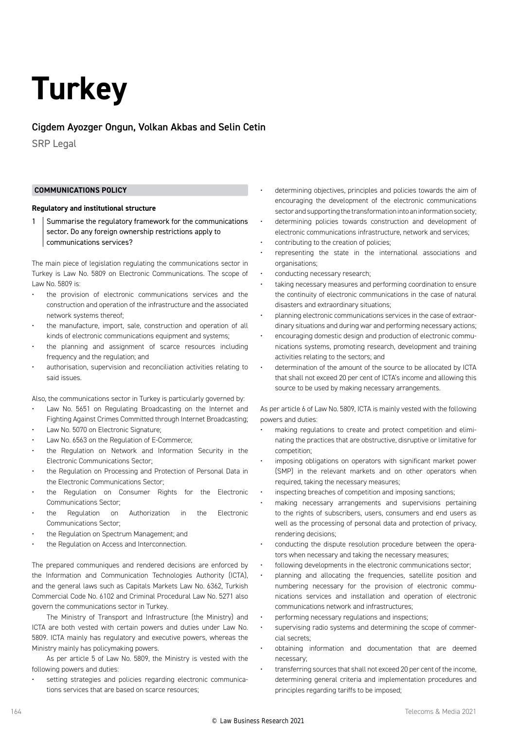### **Turkey**

#### Cigdem Ayozger Ongun, Volkan Akbas and Selin Cetin

SRP Legal

#### **COMMUNICATIONS POLICY**

#### **Regulatory and institutional structure**

1 Summarise the regulatory framework for the communications sector. Do any foreign ownership restrictions apply to communications services?

The main piece of legislation regulating the communications sector in Turkey is Law No. 5809 on Electronic Communications. The scope of Law No. 5809 is:

- the provision of electronic communications services and the construction and operation of the infrastructure and the associated network systems thereof;
- the manufacture, import, sale, construction and operation of all kinds of electronic communications equipment and systems;
- the planning and assignment of scarce resources including frequency and the regulation; and
- authorisation, supervision and reconciliation activities relating to said issues.

Also, the communications sector in Turkey is particularly governed by:

- Law No. 5651 on Regulating Broadcasting on the Internet and Fighting Against Crimes Committed through Internet Broadcasting;
- Law No. 5070 on Electronic Signature;
- Law No. 6563 on the Regulation of E-Commerce;
- the Regulation on Network and Information Security in the Electronic Communications Sector;
- the Regulation on Processing and Protection of Personal Data in the Electronic Communications Sector;
- the Regulation on Consumer Rights for the Electronic Communications Sector;
- the Regulation on Authorization in the Electronic Communications Sector;
- the Regulation on Spectrum Management; and
- the Regulation on Access and Interconnection.

The prepared communiques and rendered decisions are enforced by the Information and Communication Technologies Authority (ICTA), and the general laws such as Capitals Markets Law No. 6362, Turkish Commercial Code No. 6102 and Criminal Procedural Law No. 5271 also govern the communications sector in Turkey.

The Ministry of Transport and Infrastructure (the Ministry) and ICTA are both vested with certain powers and duties under Law No. 5809. ICTA mainly has regulatory and executive powers, whereas the Ministry mainly has policymaking powers.

As per article 5 of Law No. 5809, the Ministry is vested with the following powers and duties:

setting strategies and policies regarding electronic communications services that are based on scarce resources;

- determining objectives, principles and policies towards the aim of encouraging the development of the electronic communications sector and supporting the transformation into an information society;
- determining policies towards construction and development of electronic communications infrastructure, network and services;
- contributing to the creation of policies;
- representing the state in the international associations and organisations;
- conducting necessary research;
- taking necessary measures and performing coordination to ensure the continuity of electronic communications in the case of natural disasters and extraordinary situations;
- planning electronic communications services in the case of extraordinary situations and during war and performing necessary actions;
- encouraging domestic design and production of electronic communications systems, promoting research, development and training activities relating to the sectors; and
- determination of the amount of the source to be allocated by ICTA that shall not exceed 20 per cent of ICTA's income and allowing this source to be used by making necessary arrangements.

As per article 6 of Law No. 5809, ICTA is mainly vested with the following powers and duties:

- making regulations to create and protect competition and eliminating the practices that are obstructive, disruptive or limitative for competition;
- imposing obligations on operators with significant market power (SMP) in the relevant markets and on other operators when required, taking the necessary measures;
- inspecting breaches of competition and imposing sanctions;
- making necessary arrangements and supervisions pertaining to the rights of subscribers, users, consumers and end users as well as the processing of personal data and protection of privacy, rendering decisions;
- conducting the dispute resolution procedure between the operators when necessary and taking the necessary measures;
- following developments in the electronic communications sector;
- planning and allocating the frequencies, satellite position and numbering necessary for the provision of electronic communications services and installation and operation of electronic communications network and infrastructures;
- performing necessary regulations and inspections;
- supervising radio systems and determining the scope of commercial secrets;
- obtaining information and documentation that are deemed necessary;
- transferring sources that shall not exceed 20 per cent of the income, determining general criteria and implementation procedures and principles regarding tariffs to be imposed;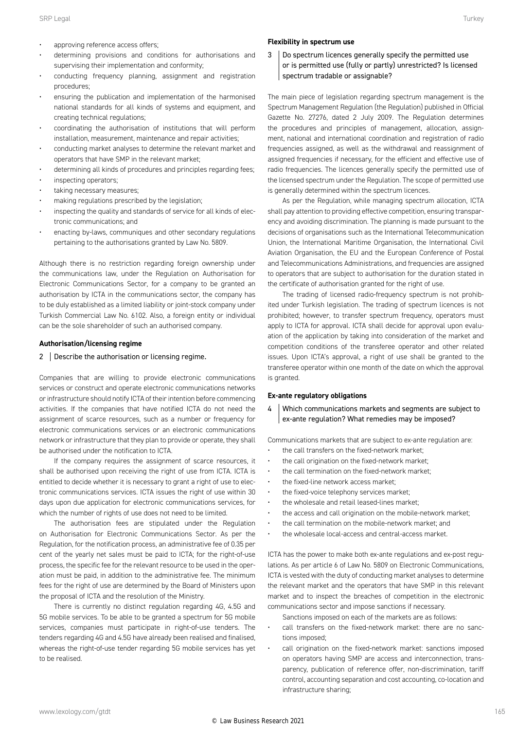- approving reference access offers;
- determining provisions and conditions for authorisations and supervising their implementation and conformity;
- conducting frequency planning, assignment and registration procedures;
- ensuring the publication and implementation of the harmonised national standards for all kinds of systems and equipment, and creating technical regulations;
- coordinating the authorisation of institutions that will perform installation, measurement, maintenance and repair activities;
- conducting market analyses to determine the relevant market and operators that have SMP in the relevant market;
- determining all kinds of procedures and principles regarding fees;
- inspecting operators;
- taking necessary measures;
- making regulations prescribed by the legislation;
- inspecting the quality and standards of service for all kinds of electronic communications; and
- enacting by-laws, communiques and other secondary regulations pertaining to the authorisations granted by Law No. 5809.

Although there is no restriction regarding foreign ownership under the communications law, under the Regulation on Authorisation for Electronic Communications Sector, for a company to be granted an authorisation by ICTA in the communications sector, the company has to be duly established as a limited liability or joint-stock company under Turkish Commercial Law No. 6102. Also, a foreign entity or individual can be the sole shareholder of such an authorised company.

#### **Authorisation/licensing regime**

2 Bescribe the authorisation or licensing regime.

Companies that are willing to provide electronic communications services or construct and operate electronic communications networks or infrastructure should notify ICTA of their intention before commencing activities. If the companies that have notified ICTA do not need the assignment of scarce resources, such as a number or frequency for electronic communications services or an electronic communications network or infrastructure that they plan to provide or operate, they shall be authorised under the notification to ICTA.

If the company requires the assignment of scarce resources, it shall be authorised upon receiving the right of use from ICTA. ICTA is entitled to decide whether it is necessary to grant a right of use to electronic communications services. ICTA issues the right of use within 30 days upon due application for electronic communications services, for which the number of rights of use does not need to be limited.

The authorisation fees are stipulated under the Regulation on Authorisation for Electronic Communications Sector. As per the Regulation, for the notification process, an administrative fee of 0.35 per cent of the yearly net sales must be paid to ICTA; for the right-of-use process, the specific fee for the relevant resource to be used in the operation must be paid, in addition to the administrative fee. The minimum fees for the right of use are determined by the Board of Ministers upon the proposal of ICTA and the resolution of the Ministry.

There is currently no distinct regulation regarding 4G, 4.5G and 5G mobile services. To be able to be granted a spectrum for 5G mobile services, companies must participate in right-of-use tenders. The tenders regarding 4G and 4.5G have already been realised and finalised, whereas the right-of-use tender regarding 5G mobile services has yet to be realised.

#### **Flexibility in spectrum use**

3 Do spectrum licences generally specify the permitted use or is permitted use (fully or partly) unrestricted? Is licensed spectrum tradable or assignable?

The main piece of legislation regarding spectrum management is the Spectrum Management Regulation (the Regulation) published in Official Gazette No. 27276, dated 2 July 2009. The Regulation determines the procedures and principles of management, allocation, assignment, national and international coordination and registration of radio frequencies assigned, as well as the withdrawal and reassignment of assigned frequencies if necessary, for the efficient and effective use of radio frequencies. The licences generally specify the permitted use of the licensed spectrum under the Regulation. The scope of permitted use is generally determined within the spectrum licences.

As per the Regulation, while managing spectrum allocation, ICTA shall pay attention to providing effective competition, ensuring transparency and avoiding discrimination. The planning is made pursuant to the decisions of organisations such as the International Telecommunication Union, the International Maritime Organisation, the International Civil Aviation Organisation, the EU and the European Conference of Postal and Telecommunications Administrations, and frequencies are assigned to operators that are subject to authorisation for the duration stated in the certificate of authorisation granted for the right of use.

The trading of licensed radio-frequency spectrum is not prohibited under Turkish legislation. The trading of spectrum licences is not prohibited; however, to transfer spectrum frequency, operators must apply to ICTA for approval. ICTA shall decide for approval upon evaluation of the application by taking into consideration of the market and competition conditions of the transferee operator and other related issues. Upon ICTA's approval, a right of use shall be granted to the transferee operator within one month of the date on which the approval is granted.

#### **Ex-ante regulatory obligations**

4 Which communications markets and segments are subject to ex-ante regulation? What remedies may be imposed?

Communications markets that are subject to ex-ante regulation are:

- the call transfers on the fixed-network market;
- the call origination on the fixed-network market;
- the call termination on the fixed-network market;
- the fixed-line network access market;
- the fixed-voice telephony services market;
- the wholesale and retail leased-lines market;
- the access and call origination on the mobile-network market;
- the call termination on the mobile-network market; and
- the wholesale local-access and central-access market.

ICTA has the power to make both ex-ante regulations and ex-post regulations. As per article 6 of Law No. 5809 on Electronic Communications, ICTA is vested with the duty of conducting market analyses to determine the relevant market and the operators that have SMP in this relevant market and to inspect the breaches of competition in the electronic communications sector and impose sanctions if necessary.

- Sanctions imposed on each of the markets are as follows:
- call transfers on the fixed-network market: there are no sanctions imposed;
- call origination on the fixed-network market: sanctions imposed on operators having SMP are access and interconnection, transparency, publication of reference offer, non-discrimination, tariff control, accounting separation and cost accounting, co-location and infrastructure sharing;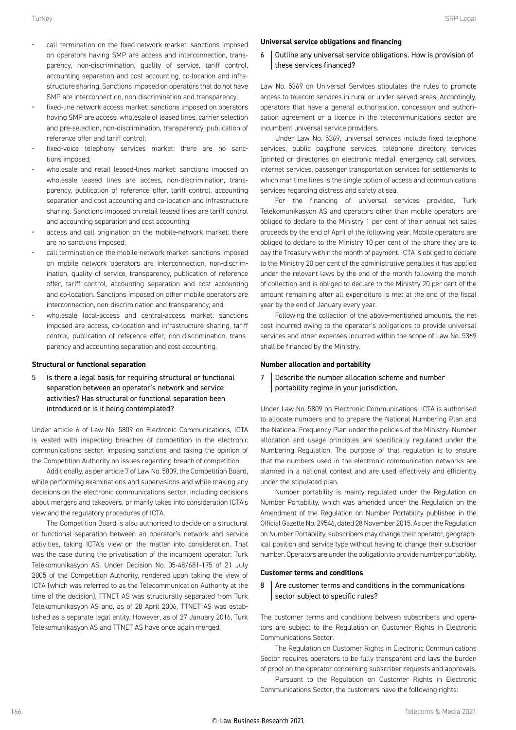- call termination on the fixed-network market: sanctions imposed on operators having SMP are access and interconnection, transparency, non-discrimination, quality of service, tariff control, accounting separation and cost accounting, co-location and infrastructure sharing. Sanctions imposed on operators that do not have SMP are interconnection, non-discrimination and transparency;
- fixed-line network access market: sanctions imposed on operators having SMP are access, wholesale of leased lines, carrier selection and pre-selection, non-discrimination, transparency, publication of reference offer and tariff control;
- fixed-voice telephony services market: there are no sanctions imposed;
- wholesale and retail leased-lines market: sanctions imposed on wholesale leased lines are access, non-discrimination, transparency, publication of reference offer, tariff control, accounting separation and cost accounting and co-location and infrastructure sharing. Sanctions imposed on retail leased lines are tariff control and accounting separation and cost accounting;
- access and call origination on the mobile-network market: there are no sanctions imposed;
- call termination on the mobile-network market: sanctions imposed on mobile network operators are interconnection, non-discrimination, quality of service, transparency, publication of reference offer, tariff control, accounting separation and cost accounting and co-location. Sanctions imposed on other mobile operators are interconnection, non-discrimination and transparency; and
- wholesale local-access and central-access market: sanctions imposed are access, co-location and infrastructure sharing, tariff control, publication of reference offer, non-discrimination, transparency and accounting separation and cost accounting.

#### **Structural or functional separation**

 $5$  Is there a legal basis for requiring structural or functional separation between an operator's network and service activities? Has structural or functional separation been introduced or is it being contemplated?

Under article 6 of Law No. 5809 on Electronic Communications, ICTA is vested with inspecting breaches of competition in the electronic communications sector, imposing sanctions and taking the opinion of the Competition Authority on issues regarding breach of competition.

Additionally, as per article 7 of Law No. 5809, the Competition Board, while performing examinations and supervisions and while making any decisions on the electronic communications sector, including decisions about mergers and takeovers, primarily takes into consideration ICTA's view and the regulatory procedures of ICTA.

The Competition Board is also authorised to decide on a structural or functional separation between an operator's network and service activities, taking ICTA's view on the matter into consideration. That was the case during the privatisation of the incumbent operator: Turk Telekomunikasyon AS. Under Decision No. 05-48/681-175 of 21 July 2005 of the Competition Authority, rendered upon taking the view of ICTA (which was referred to as the Telecommunication Authority at the time of the decision), TTNET AS was structurally separated from Turk Telekomunikasyon AS and, as of 28 April 2006, TTNET AS was established as a separate legal entity. However, as of 27 January 2016, Turk Telekomunikasyon AS and TTNET AS have once again merged.

#### **Universal service obligations and financing**

6 Outline any universal service obligations. How is provision of these services financed?

Law No. 5369 on Universal Services stipulates the rules to promote access to telecom services in rural or under-served areas. Accordingly, operators that have a general authorisation, concession and authorisation agreement or a licence in the telecommunications sector are incumbent universal service providers.

Under Law No. 5369, universal services include fixed telephone services, public payphone services, telephone directory services (printed or directories on electronic media), emergency call services, internet services, passenger transportation services for settlements to which maritime lines is the single option of access and communications services regarding distress and safety at sea.

For the financing of universal services provided, Turk Telekomunikasyon AS and operators other than mobile operators are obliged to declare to the Ministry 1 per cent of their annual net sales proceeds by the end of April of the following year. Mobile operators are obliged to declare to the Ministry 10 per cent of the share they are to pay the Treasury within the month of payment. ICTA is obliged to declare to the Ministry 20 per cent of the administrative penalties it has applied under the relevant laws by the end of the month following the month of collection and is obliged to declare to the Ministry 20 per cent of the amount remaining after all expenditure is met at the end of the fiscal year by the end of January every year.

Following the collection of the above-mentioned amounts, the net cost incurred owing to the operator's obligations to provide universal services and other expenses incurred within the scope of Law No. 5369 shall be financed by the Ministry.

#### **Number allocation and portability**

#### 7 Describe the number allocation scheme and number portability regime in your jurisdiction.

Under Law No. 5809 on Electronic Communications, ICTA is authorised to allocate numbers and to prepare the National Numbering Plan and the National Frequency Plan under the policies of the Ministry. Number allocation and usage principles are specifically regulated under the Numbering Regulation. The purpose of that regulation is to ensure that the numbers used in the electronic communication networks are planned in a national context and are used effectively and efficiently under the stipulated plan.

Number portability is mainly regulated under the Regulation on Number Portability, which was amended under the Regulation on the Amendment of the Regulation on Number Portability published in the Official Gazette No. 29546, dated 28 November 2015. As per the Regulation on Number Portability, subscribers may change their operator, geographical position and service type without having to change their subscriber number. Operators are under the obligation to provide number portability.

#### **Customer terms and conditions**

 $8$  Are customer terms and conditions in the communications sector subject to specific rules?

The customer terms and conditions between subscribers and operators are subject to the Regulation on Customer Rights in Electronic Communications Sector.

The Regulation on Customer Rights in Electronic Communications Sector requires operators to be fully transparent and lays the burden of proof on the operator concerning subscriber requests and approvals.

Pursuant to the Regulation on Customer Rights in Electronic Communications Sector, the customers have the following rights: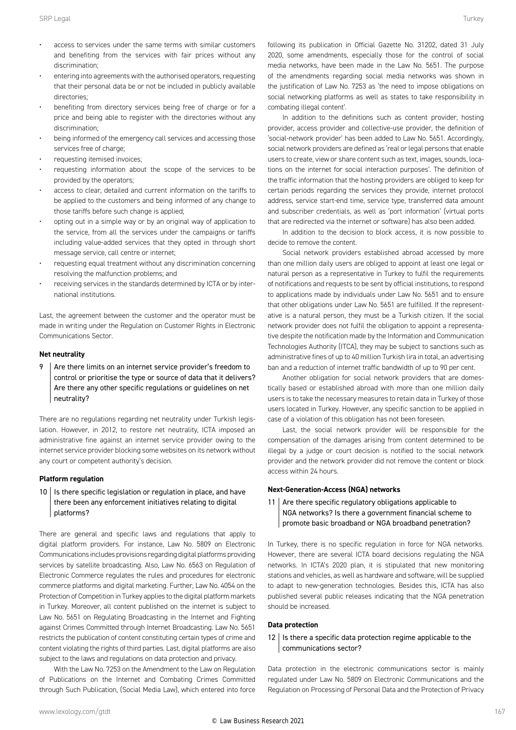- access to services under the same terms with similar customers and benefiting from the services with fair prices without any discrimination;
- entering into agreements with the authorised operators, requesting that their personal data be or not be included in publicly available directories;
- benefiting from directory services being free of charge or for a price and being able to register with the directories without any discrimination;
- being informed of the emergency call services and accessing those services free of charge:
- requesting itemised invoices;
- requesting information about the scope of the services to be provided by the operators;
- access to clear, detailed and current information on the tariffs to be applied to the customers and being informed of any change to those tariffs before such change is applied;
- opting out in a simple way or by an original way of application to the service, from all the services under the campaigns or tariffs including value-added services that they opted in through short message service, call centre or internet;
- requesting equal treatment without any discrimination concerning resolving the malfunction problems; and
- receiving services in the standards determined by ICTA or by international institutions.

Last, the agreement between the customer and the operator must be made in writing under the Regulation on Customer Rights in Electronic Communications Sector.

#### **Net neutrality**

 $9$  Are there limits on an internet service provider's freedom to control or prioritise the type or source of data that it delivers? Are there any other specific regulations or guidelines on net neutrality?

There are no regulations regarding net neutrality under Turkish legislation. However, in 2012, to restore net neutrality, ICTA imposed an administrative fine against an internet service provider owing to the internet service provider blocking some websites on its network without any court or competent authority's decision.

#### **Platform regulation**

 $10$  | Is there specific legislation or regulation in place, and have there been any enforcement initiatives relating to digital platforms?

There are general and specific laws and regulations that apply to digital platform providers. For instance, Law No. 5809 on Electronic Communications includes provisions regarding digital platforms providing services by satellite broadcasting. Also, Law No. 6563 on Regulation of Electronic Commerce regulates the rules and procedures for electronic commerce platforms and digital marketing. Further, Law No. 4054 on the Protection of Competition in Turkey applies to the digital platform markets in Turkey. Moreover, all content published on the internet is subject to Law No. 5651 on Regulating Broadcasting in the Internet and Fighting against Crimes Committed through Internet Broadcasting. Law No. 5651 restricts the publication of content constituting certain types of crime and content violating the rights of third parties. Last, digital platforms are also subject to the laws and regulations on data protection and privacy.

With the Law No. 7253 on the Amendment to the Law on Regulation of Publications on the Internet and Combating Crimes Committed through Such Publication, (Social Media Law), which entered into force following its publication in Official Gazette No. 31202, dated 31 July 2020, some amendments, especially those for the control of social media networks, have been made in the Law No. 5651. The purpose of the amendments regarding social media networks was shown in the justification of Law No. 7253 as 'the need to impose obligations on social networking platforms as well as states to take responsibility in combating illegal content'.

In addition to the definitions such as content provider, hosting provider, access provider and collective-use provider, the definition of 'social-network provider' has been added to Law No. 5651. Accordingly, social network providers are defined as 'real or legal persons that enable users to create, view or share content such as text, images, sounds, locations on the internet for social interaction purposes'. The definition of the traffic information that the hosting providers are obliged to keep for certain periods regarding the services they provide, internet protocol address, service start-end time, service type, transferred data amount and subscriber credentials, as well as 'port information' (virtual ports that are redirected via the internet or software) has also been added.

In addition to the decision to block access, it is now possible to decide to remove the content.

Social network providers established abroad accessed by more than one million daily users are obliged to appoint at least one legal or natural person as a representative in Turkey to fulfil the requirements of notifications and requests to be sent by official institutions, to respond to applications made by individuals under Law No. 5651 and to ensure that other obligations under Law No. 5651 are fulfilled. If the representative is a natural person, they must be a Turkish citizen. If the social network provider does not fulfil the obligation to appoint a representative despite the notification made by the Information and Communication Technologies Authority (ITCA), they may be subject to sanctions such as administrative fines of up to 40 million Turkish lira in total, an advertising ban and a reduction of internet traffic bandwidth of up to 90 per cent.

Another obligation for social network providers that are domestically based or established abroad with more than one million daily users is to take the necessary measures to retain data in Turkey of those users located in Turkey. However, any specific sanction to be applied in case of a violation of this obligation has not been foreseen.

Last, the social network provider will be responsible for the compensation of the damages arising from content determined to be illegal by a judge or court decision is notified to the social network provider and the network provider did not remove the content or block access within 24 hours.

#### **Next-Generation-Access (NGA) networks**

#### 11 | Are there specific regulatory obligations applicable to NGA networks? Is there a government financial scheme to promote basic broadband or NGA broadband penetration?

In Turkey, there is no specific regulation in force for NGA networks. However, there are several ICTA board decisions regulating the NGA networks. In ICTA's 2020 plan, it is stipulated that new monitoring stations and vehicles, as well as hardware and software, will be supplied to adapt to new-generation technologies. Besides this, ICTA has also published several public releases indicating that the NGA penetration should be increased.

#### **Data protection**

#### $12$  Is there a specific data protection regime applicable to the communications sector?

Data protection in the electronic communications sector is mainly regulated under Law No. 5809 on Electronic Communications and the Regulation on Processing of Personal Data and the Protection of Privacy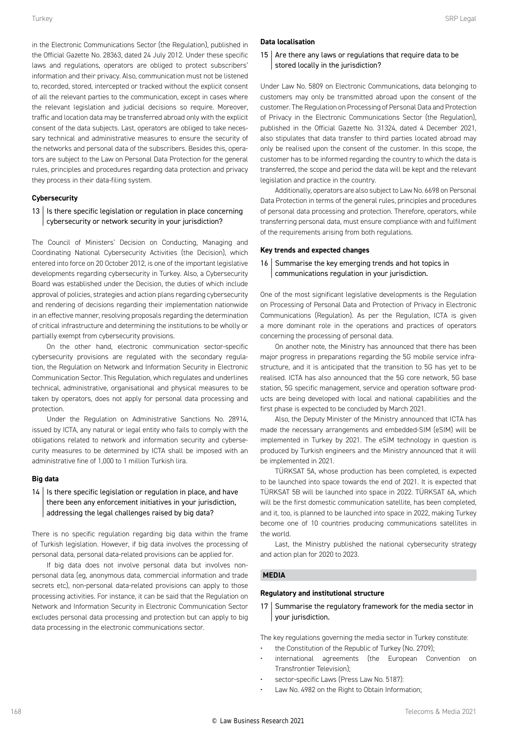in the Electronic Communications Sector (the Regulation), published in the Official Gazette No. 28363, dated 24 July 2012. Under these specific laws and regulations, operators are obliged to protect subscribers' information and their privacy. Also, communication must not be listened to, recorded, stored, intercepted or tracked without the explicit consent of all the relevant parties to the communication, except in cases where the relevant legislation and judicial decisions so require. Moreover, traffic and location data may be transferred abroad only with the explicit consent of the data subjects. Last, operators are obliged to take necessary technical and administrative measures to ensure the security of the networks and personal data of the subscribers. Besides this, operators are subject to the Law on Personal Data Protection for the general rules, principles and procedures regarding data protection and privacy they process in their data-filing system.

#### **Cybersecurity**

#### $13$  | Is there specific legislation or regulation in place concerning cybersecurity or network security in your jurisdiction?

The Council of Ministers' Decision on Conducting, Managing and Coordinating National Cybersecurity Activities (the Decision), which entered into force on 20 October 2012, is one of the important legislative developments regarding cybersecurity in Turkey. Also, a Cybersecurity Board was established under the Decision, the duties of which include approval of policies, strategies and action plans regarding cybersecurity and rendering of decisions regarding their implementation nationwide in an effective manner, resolving proposals regarding the determination of critical infrastructure and determining the institutions to be wholly or partially exempt from cybersecurity provisions.

On the other hand, electronic communication sector-specific cybersecurity provisions are regulated with the secondary regulation, the Regulation on Network and Information Security in Electronic Communication Sector. This Regulation, which regulates and underlines technical, administrative, organisational and physical measures to be taken by operators, does not apply for personal data processing and protection.

Under the Regulation on Administrative Sanctions No. 28914, issued by ICTA, any natural or legal entity who fails to comply with the obligations related to network and information security and cybersecurity measures to be determined by ICTA shall be imposed with an administrative fine of 1,000 to 1 million Turkish lira.

#### **Big data**

#### $14$  | Is there specific legislation or regulation in place, and have there been any enforcement initiatives in your jurisdiction, addressing the legal challenges raised by big data?

There is no specific regulation regarding big data within the frame of Turkish legislation. However, if big data involves the processing of personal data, personal data-related provisions can be applied for.

If big data does not involve personal data but involves nonpersonal data (eg, anonymous data, commercial information and trade secrets etc), non-personal data-related provisions can apply to those processing activities. For instance, it can be said that the Regulation on Network and Information Security in Electronic Communication Sector excludes personal data processing and protection but can apply to big data processing in the electronic communications sector.

Under Law No. 5809 on Electronic Communications, data belonging to customers may only be transmitted abroad upon the consent of the customer. The Regulation on Processing of Personal Data and Protection of Privacy in the Electronic Communications Sector (the Regulation), published in the Official Gazette No. 31324, dated 4 December 2021, also stipulates that data transfer to third parties located abroad may only be realised upon the consent of the customer. In this scope, the customer has to be informed regarding the country to which the data is transferred, the scope and period the data will be kept and the relevant legislation and practice in the country.

Additionally, operators are also subject to Law No. 6698 on Personal Data Protection in terms of the general rules, principles and procedures of personal data processing and protection. Therefore, operators, while transferring personal data, must ensure compliance with and fulfilment of the requirements arising from both regulations.

#### **Key trends and expected changes**

#### $16$  Summarise the key emerging trends and hot topics in communications regulation in your jurisdiction.

One of the most significant legislative developments is the Regulation on Processing of Personal Data and Protection of Privacy in Electronic Communications (Regulation). As per the Regulation, ICTA is given a more dominant role in the operations and practices of operators concerning the processing of personal data.

On another note, the Ministry has announced that there has been major progress in preparations regarding the 5G mobile service infrastructure, and it is anticipated that the transition to 5G has yet to be realised. ICTA has also announced that the 5G core network, 5G base station, 5G specific management, service and operation software products are being developed with local and national capabilities and the first phase is expected to be concluded by March 2021.

Also, the Deputy Minister of the Ministry announced that ICTA has made the necessary arrangements and embedded-SIM (eSIM) will be implemented in Turkey by 2021. The eSIM technology in question is produced by Turkish engineers and the Ministry announced that it will be implemented in 2021.

TÜRKSAT 5A, whose production has been completed, is expected to be launched into space towards the end of 2021. It is expected that TÜRKSAT 5B will be launched into space in 2022. TÜRKSAT 6A, which will be the first domestic communication satellite, has been completed, and it, too, is planned to be launched into space in 2022, making Turkey become one of 10 countries producing communications satellites in the world.

Last, the Ministry published the national cybersecurity strategy and action plan for 2020 to 2023.

#### **MEDIA**

#### **Regulatory and institutional structure**

17 Summarise the regulatory framework for the media sector in your jurisdiction.

The key regulations governing the media sector in Turkey constitute:

- the Constitution of the Republic of Turkey (No. 2709);
- international agreements (the European Convention on Transfrontier Television);
- sector-specific Laws (Press Law No. 5187):
- Law No. 4982 on the Right to Obtain Information;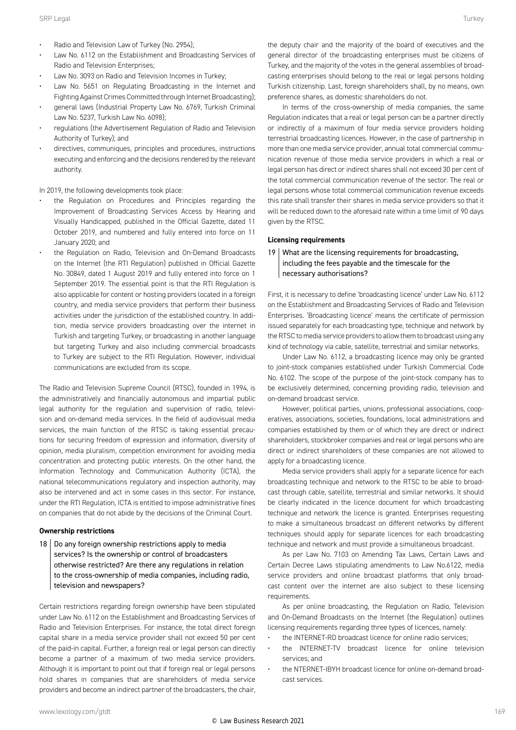- Radio and Television Law of Turkey (No. 2954);
- Law No. 6112 on the Establishment and Broadcasting Services of Radio and Television Enterprises;
- Law No. 3093 on Radio and Television Incomes in Turkey;
- Law No. 5651 on Regulating Broadcasting in the Internet and Fighting Against Crimes Committed through Internet Broadcasting);
- general laws (Industrial Property Law No. 6769, Turkish Criminal Law No. 5237, Turkish Law No. 6098);
- regulations (the Advertisement Regulation of Radio and Television Authority of Turkey); and
- directives, communiques, principles and procedures, instructions executing and enforcing and the decisions rendered by the relevant authority.

In 2019, the following developments took place:

- the Regulation on Procedures and Principles regarding the Improvement of Broadcasting Services Access by Hearing and Visually Handicapped, published in the Official Gazette, dated 11 October 2019, and numbered and fully entered into force on 11 January 2020; and
- the Regulation on Radio, Television and On-Demand Broadcasts on the Internet (the RTI Regulation) published in Official Gazette No. 30849, dated 1 August 2019 and fully entered into force on 1 September 2019. The essential point is that the RTI Regulation is also applicable for content or hosting providers located in a foreign country, and media service providers that perform their business activities under the jurisdiction of the established country. In addition, media service providers broadcasting over the internet in Turkish and targeting Turkey, or broadcasting in another language but targeting Turkey and also including commercial broadcasts to Turkey are subject to the RTI Regulation. However, individual communications are excluded from its scope.

The Radio and Television Supreme Council (RTSC), founded in 1994, is the administratively and financially autonomous and impartial public legal authority for the regulation and supervision of radio, television and on-demand media services. In the field of audiovisual media services, the main function of the RTSC is taking essential precautions for securing freedom of expression and information, diversity of opinion, media pluralism, competition environment for avoiding media concentration and protecting public interests. On the other hand, the Information Technology and Communication Authority (ICTA), the national telecommunications regulatory and inspection authority, may also be intervened and act in some cases in this sector. For instance, under the RTI Regulation, ICTA is entitled to impose administrative fines on companies that do not abide by the decisions of the Criminal Court.

#### **Ownership restrictions**

 $18$  Do any foreign ownership restrictions apply to media services? Is the ownership or control of broadcasters otherwise restricted? Are there any regulations in relation to the cross-ownership of media companies, including radio, television and newspapers?

Certain restrictions regarding foreign ownership have been stipulated under Law No. 6112 on the Establishment and Broadcasting Services of Radio and Television Enterprises. For instance, the total direct foreign capital share in a media service provider shall not exceed 50 per cent of the paid-in capital. Further, a foreign real or legal person can directly become a partner of a maximum of two media service providers. Although it is important to point out that if foreign real or legal persons hold shares in companies that are shareholders of media service providers and become an indirect partner of the broadcasters, the chair, the deputy chair and the majority of the board of executives and the general director of the broadcasting enterprises must be citizens of Turkey, and the majority of the votes in the general assemblies of broadcasting enterprises should belong to the real or legal persons holding Turkish citizenship. Last, foreign shareholders shall, by no means, own preference shares, as domestic shareholders do not.

In terms of the cross-ownership of media companies, the same Regulation indicates that a real or legal person can be a partner directly or indirectly of a maximum of four media service providers holding terrestrial broadcasting licences. However, in the case of partnership in more than one media service provider, annual total commercial communication revenue of those media service providers in which a real or legal person has direct or indirect shares shall not exceed 30 per cent of the total commercial communication revenue of the sector. The real or legal persons whose total commercial communication revenue exceeds this rate shall transfer their shares in media service providers so that it will be reduced down to the aforesaid rate within a time limit of 90 days given by the RTSC.

#### **Licensing requirements**

#### 19 What are the licensing requirements for broadcasting, including the fees payable and the timescale for the necessary authorisations?

First, it is necessary to define 'broadcasting licence' under Law No. 6112 on the Establishment and Broadcasting Services of Radio and Television Enterprises. 'Broadcasting licence' means the certificate of permission issued separately for each broadcasting type, technique and network by the RTSC to media service providers to allow them to broadcast using any kind of technology via cable, satellite, terrestrial and similar networks.

Under Law No. 6112, a broadcasting licence may only be granted to joint-stock companies established under Turkish Commercial Code No. 6102. The scope of the purpose of the joint-stock company has to be exclusively determined, concerning providing radio, television and on-demand broadcast service.

However, political parties, unions, professional associations, cooperatives, associations, societies, foundations, local administrations and companies established by them or of which they are direct or indirect shareholders, stockbroker companies and real or legal persons who are direct or indirect shareholders of these companies are not allowed to apply for a broadcasting licence.

Media service providers shall apply for a separate licence for each broadcasting technique and network to the RTSC to be able to broadcast through cable, satellite, terrestrial and similar networks. It should be clearly indicated in the licence document for which broadcasting technique and network the licence is granted. Enterprises requesting to make a simultaneous broadcast on different networks by different techniques should apply for separate licences for each broadcasting technique and network and must provide a simultaneous broadcast.

As per Law No. 7103 on Amending Tax Laws, Certain Laws and Certain Decree Laws stipulating amendments to Law No.6122, media service providers and online broadcast platforms that only broadcast content over the internet are also subject to these licensing requirements.

As per online broadcasting, the Regulation on Radio, Television and On-Demand Broadcasts on the Internet (the Regulation) outlines licensing requirements regarding three types of licences, namely:

- the INTERNET-RD broadcast licence for online radio services;
- the INTERNET-TV broadcast licence for online television services; and
- the NTERNET-IBYH broadcast licence for online on-demand broadcast services.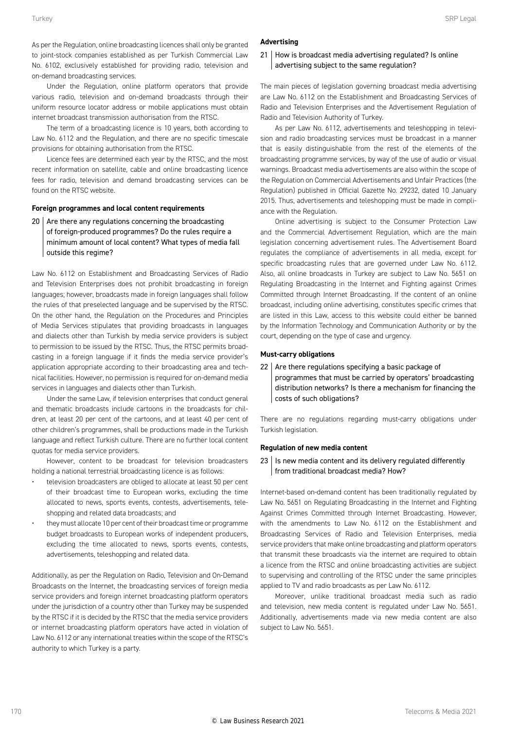As per the Regulation, online broadcasting licences shall only be granted to joint-stock companies established as per Turkish Commercial Law No. 6102, exclusively established for providing radio, television and on-demand broadcasting services.

Under the Regulation, online platform operators that provide various radio, television and on-demand broadcasts through their uniform resource locator address or mobile applications must obtain internet broadcast transmission authorisation from the RTSC.

The term of a broadcasting licence is 10 years, both according to Law No. 6112 and the Regulation, and there are no specific timescale provisions for obtaining authorisation from the RTSC.

Licence fees are determined each year by the RTSC, and the most recent information on satellite, cable and online broadcasting licence fees for radio, television and demand broadcasting services can be found on the RTSC website.

#### **Foreign programmes and local content requirements**

 $20$  Are there any regulations concerning the broadcasting of foreign-produced programmes? Do the rules require a minimum amount of local content? What types of media fall outside this regime?

Law No. 6112 on Establishment and Broadcasting Services of Radio and Television Enterprises does not prohibit broadcasting in foreign languages; however, broadcasts made in foreign languages shall follow the rules of that preselected language and be supervised by the RTSC. On the other hand, the Regulation on the Procedures and Principles of Media Services stipulates that providing broadcasts in languages and dialects other than Turkish by media service providers is subject to permission to be issued by the RTSC. Thus, the RTSC permits broadcasting in a foreign language if it finds the media service provider's application appropriate according to their broadcasting area and technical facilities. However, no permission is required for on-demand media services in languages and dialects other than Turkish.

Under the same Law, if television enterprises that conduct general and thematic broadcasts include cartoons in the broadcasts for children, at least 20 per cent of the cartoons, and at least 40 per cent of other children's programmes, shall be productions made in the Turkish language and reflect Turkish culture. There are no further local content quotas for media service providers.

However, content to be broadcast for television broadcasters holding a national terrestrial broadcasting licence is as follows:

- television broadcasters are obliged to allocate at least 50 per cent of their broadcast time to European works, excluding the time allocated to news, sports events, contests, advertisements, teleshopping and related data broadcasts; and
- they must allocate 10 per cent of their broadcast time or programme budget broadcasts to European works of independent producers, excluding the time allocated to news, sports events, contests, advertisements, teleshopping and related data.

Additionally, as per the Regulation on Radio, Television and On-Demand Broadcasts on the Internet, the broadcasting services of foreign media service providers and foreign internet broadcasting platform operators under the jurisdiction of a country other than Turkey may be suspended by the RTSC if it is decided by the RTSC that the media service providers or internet broadcasting platform operators have acted in violation of Law No. 6112 or any international treaties within the scope of the RTSC's authority to which Turkey is a party.

#### **Advertising**

#### 21 How is broadcast media advertising regulated? Is online advertising subject to the same regulation?

The main pieces of legislation governing broadcast media advertising are Law No. 6112 on the Establishment and Broadcasting Services of Radio and Television Enterprises and the Advertisement Regulation of Radio and Television Authority of Turkey.

As per Law No. 6112, advertisements and teleshopping in television and radio broadcasting services must be broadcast in a manner that is easily distinguishable from the rest of the elements of the broadcasting programme services, by way of the use of audio or visual warnings. Broadcast media advertisements are also within the scope of the Regulation on Commercial Advertisements and Unfair Practices (the Regulation) published in Official Gazette No. 29232, dated 10 January 2015. Thus, advertisements and teleshopping must be made in compliance with the Regulation.

Online advertising is subject to the Consumer Protection Law and the Commercial Advertisement Regulation, which are the main legislation concerning advertisement rules. The Advertisement Board regulates the compliance of advertisements in all media, except for specific broadcasting rules that are governed under Law No. 6112. Also, all online broadcasts in Turkey are subject to Law No. 5651 on Regulating Broadcasting in the Internet and Fighting against Crimes Committed through Internet Broadcasting. If the content of an online broadcast, including online advertising, constitutes specific crimes that are listed in this Law, access to this website could either be banned by the Information Technology and Communication Authority or by the court, depending on the type of case and urgency.

#### **Must-carry obligations**

 $22$  Are there regulations specifying a basic package of programmes that must be carried by operators' broadcasting distribution networks? Is there a mechanism for financing the costs of such obligations?

There are no regulations regarding must-carry obligations under Turkish legislation.

#### **Regulation of new media content**

 $23$  | Is new media content and its delivery regulated differently from traditional broadcast media? How?

Internet-based on-demand content has been traditionally regulated by Law No. 5651 on Regulating Broadcasting in the Internet and Fighting Against Crimes Committed through Internet Broadcasting. However, with the amendments to Law No. 6112 on the Establishment and Broadcasting Services of Radio and Television Enterprises, media service providers that make online broadcasting and platform operators that transmit these broadcasts via the internet are required to obtain a licence from the RTSC and online broadcasting activities are subject to supervising and controlling of the RTSC under the same principles applied to TV and radio broadcasts as per Law No. 6112.

Moreover, unlike traditional broadcast media such as radio and television, new media content is regulated under Law No. 5651. Additionally, advertisements made via new media content are also subject to Law No. 5651.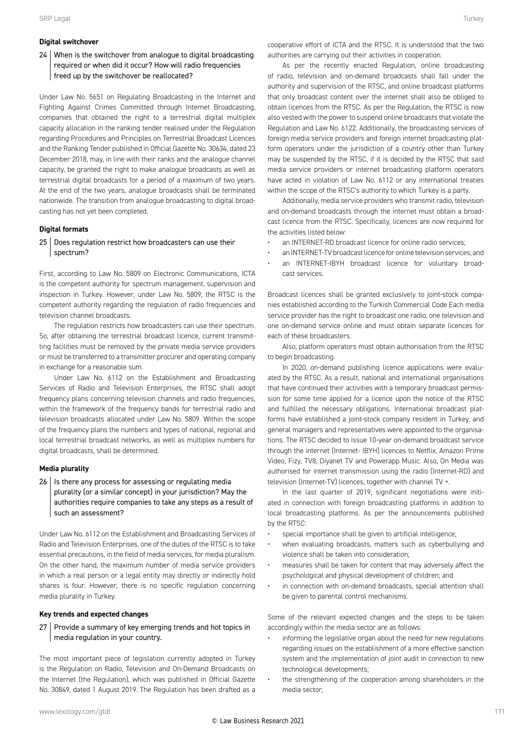#### **Digital switchover**

#### 24 When is the switchover from analogue to digital broadcasting required or when did it occur? How will radio frequencies freed up by the switchover be reallocated?

Under Law No. 5651 on Regulating Broadcasting in the Internet and Fighting Against Crimes Committed through Internet Broadcasting, companies that obtained the right to a terrestrial digital multiplex capacity allocation in the ranking tender realised under the Regulation regarding Procedures and Principles on Terrestrial Broadcast Licences and the Ranking Tender published in Official Gazette No. 30634, dated 23 December 2018, may, in line with their ranks and the analogue channel capacity, be granted the right to make analogue broadcasts as well as terrestrial digital broadcasts for a period of a maximum of two years. At the end of the two years, analogue broadcasts shall be terminated nationwide. The transition from analogue broadcasting to digital broadcasting has not yet been completed.

#### **Digital formats**

#### 25 | Does regulation restrict how broadcasters can use their spectrum?

First, according to Law No. 5809 on Electronic Communications, ICTA is the competent authority for spectrum management, supervision and inspection in Turkey. However, under Law No. 5809, the RTSC is the competent authority regarding the regulation of radio frequencies and television channel broadcasts.

The regulation restricts how broadcasters can use their spectrum. So, after obtaining the terrestrial broadcast licence, current transmitting facilities must be removed by the private media service providers or must be transferred to a transmitter procurer and operating company in exchange for a reasonable sum.

Under Law No. 6112 on the Establishment and Broadcasting Services of Radio and Television Enterprises, the RTSC shall adopt frequency plans concerning television channels and radio frequencies, within the framework of the frequency bands for terrestrial radio and television broadcasts allocated under Law No. 5809. Within the scope of the frequency plans the numbers and types of national, regional and local terrestrial broadcast networks, as well as multiplex numbers for digital broadcasts, shall be determined.

#### **Media plurality**

 $26$  | Is there any process for assessing or regulating media plurality (or a similar concept) in your jurisdiction? May the authorities require companies to take any steps as a result of such an assessment?

Under Law No. 6112 on the Establishment and Broadcasting Services of Radio and Television Enterprises, one of the duties of the RTSC is to take essential precautions, in the field of media services, for media pluralism. On the other hand, the maximum number of media service providers in which a real person or a legal entity may directly or indirectly hold shares is four. However, there is no specific regulation concerning media plurality in Turkey.

#### **Key trends and expected changes**

#### 27 | Provide a summary of key emerging trends and hot topics in media regulation in your country.

The most important piece of legislation currently adopted in Turkey is the Regulation on Radio, Television and On-Demand Broadcasts on the Internet (the Regulation), which was published in Official Gazette No. 30849, dated 1 August 2019. The Regulation has been drafted as a

As per the recently enacted Regulation, online broadcasting of radio, television and on-demand broadcasts shall fall under the authority and supervision of the RTSC, and online broadcast platforms that only broadcast content over the internet shall also be obliged to obtain licences from the RTSC. As per the Regulation, the RTSC is now also vested with the power to suspend online broadcasts that violate the Regulation and Law No. 6122. Additionally, the broadcasting services of foreign media service providers and foreign internet broadcasting platform operators under the jurisdiction of a country other than Turkey may be suspended by the RTSC, if it is decided by the RTSC that said media service providers or internet broadcasting platform operators have acted in violation of Law No. 6112 or any international treaties within the scope of the RTSC's authority to which Turkey is a party.

Additionally, media service providers who transmit radio, television and on-demand broadcasts through the internet must obtain a broadcast licence from the RTSC. Specifically, licences are now required for the activities listed below:

- an INTERNET-RD broadcast licence for online radio services;
- an INTERNET-TV broadcast licence for online television services; and • an INTERNET-IBYH broadcast licence for voluntary broad-
- cast services.

Broadcast licences shall be granted exclusively to joint-stock companies established according to the Turkish Commercial Code Each media service provider has the right to broadcast one radio, one television and one on-demand service online and must obtain separate licences for each of these broadcasters.

Also, platform operators must obtain authorisation from the RTSC to begin broadcasting.

In 2020, on-demand publishing licence applications were evaluated by the RTSC. As a result, national and international organisations that have continued their activities with a temporary broadcast permission for some time applied for a licence upon the notice of the RTSC and fulfilled the necessary obligations. International broadcast platforms have established a joint-stock company resident in Turkey, and general managers and representatives were appointed to the organisations. The RTSC decided to issue 10-year on-demand broadcast service through the internet (Internet- IBYH) licences to Netflix, Amazon Prime Video, Fizy, TV8, Diyanet TV and Powerapp Music. Also, On Media was authorised for internet transmission using the radio (Internet-RD) and television (Internet-TV) licences, together with channel TV +.

In the last quarter of 2019, significant negotiations were initiated in connection with foreign broadcasting platforms in addition to local broadcasting platforms. As per the announcements published by the RTSC:

- special importance shall be given to artificial intelligence;
- when evaluating broadcasts, matters such as cyberbullying and violence shall be taken into consideration;
- measures shall be taken for content that may adversely affect the psychological and physical development of children; and
- in connection with on-demand broadcasts, special attention shall be given to parental control mechanisms

Some of the relevant expected changes and the steps to be taken accordingly within the media sector are as follows:

- informing the legislative organ about the need for new regulations regarding issues on the establishment of a more effective sanction system and the implementation of joint audit in connection to new technological developments;
- the strengthening of the cooperation among shareholders in the media sector;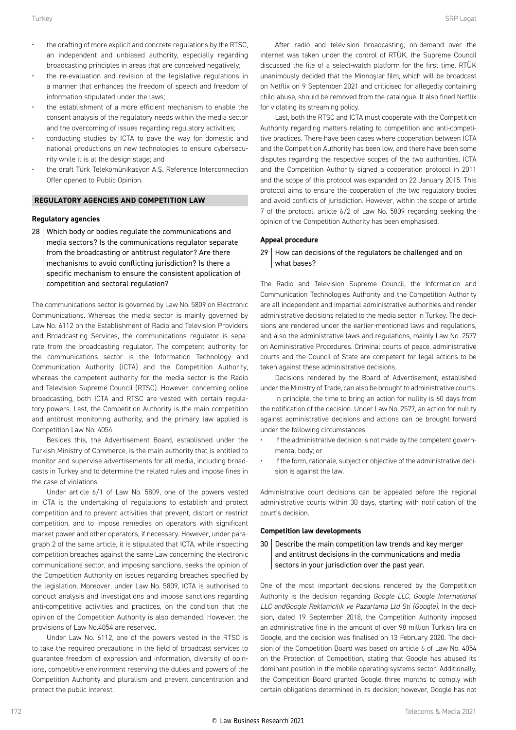- the drafting of more explicit and concrete regulations by the RTSC, an independent and unbiased authority, especially regarding broadcasting principles in areas that are conceived negatively;
- the re-evaluation and revision of the legislative regulations in a manner that enhances the freedom of speech and freedom of information stipulated under the laws;
- the establishment of a more efficient mechanism to enable the consent analysis of the regulatory needs within the media sector and the overcoming of issues regarding regulatory activities;
- conducting studies by ICTA to pave the way for domestic and national productions on new technologies to ensure cybersecurity while it is at the design stage; and
- the draft Türk Telekomünikasyon A.Ş. Reference Interconnection Offer opened to Public Opinion.

#### **REGULATORY AGENCIES AND COMPETITION LAW**

#### **Regulatory agencies**

28 Which body or bodies regulate the communications and media sectors? Is the communications regulator separate from the broadcasting or antitrust regulator? Are there mechanisms to avoid conflicting jurisdiction? Is there a specific mechanism to ensure the consistent application of competition and sectoral regulation?

The communications sector is governed by Law No. 5809 on Electronic Communications. Whereas the media sector is mainly governed by Law No. 6112 on the Establishment of Radio and Television Providers and Broadcasting Services, the communications regulator is separate from the broadcasting regulator. The competent authority for the communications sector is the Information Technology and Communication Authority (ICTA) and the Competition Authority, whereas the competent authority for the media sector is the Radio and Television Supreme Council (RTSC). However, concerning online broadcasting, both ICTA and RTSC are vested with certain regulatory powers. Last, the Competition Authority is the main competition and antitrust monitoring authority, and the primary law applied is Competition Law No. 4054.

Besides this, the Advertisement Board, established under the Turkish Ministry of Commerce, is the main authority that is entitled to monitor and supervise advertisements for all media, including broadcasts in Turkey and to determine the related rules and impose fines in the case of violations.

Under article 6/1 of Law No. 5809, one of the powers vested in ICTA is the undertaking of regulations to establish and protect competition and to prevent activities that prevent, distort or restrict competition, and to impose remedies on operators with significant market power and other operators, if necessary. However, under paragraph 2 of the same article, it is stipulated that ICTA, while inspecting competition breaches against the same Law concerning the electronic communications sector, and imposing sanctions, seeks the opinion of the Competition Authority on issues regarding breaches specified by the legislation. Moreover, under Law No. 5809, ICTA is authorised to conduct analysis and investigations and impose sanctions regarding anti-competitive activities and practices, on the condition that the opinion of the Competition Authority is also demanded. However, the provisions of Law No.4054 are reserved.

Under Law No. 6112, one of the powers vested in the RTSC is to take the required precautions in the field of broadcast services to guarantee freedom of expression and information, diversity of opinions, competitive environment reserving the duties and powers of the Competition Authority and pluralism and prevent concentration and protect the public interest.

After radio and television broadcasting, on-demand over the internet was taken under the control of RTÜK, the Supreme Council discussed the file of a select-watch platform for the first time. RTÜK unanimously decided that the Minnoşlar film, which will be broadcast on Netflix on 9 September 2021 and criticised for allegedly containing child abuse, should be removed from the catalogue. It also fined Netflix for violating its streaming policy.

Last, both the RTSC and ICTA must cooperate with the Competition Authority regarding matters relating to competition and anti-competitive practices. There have been cases where cooperation between ICTA and the Competition Authority has been low, and there have been some disputes regarding the respective scopes of the two authorities. ICTA and the Competition Authority signed a cooperation protocol in 2011 and the scope of this protocol was expanded on 22 January 2015. This protocol aims to ensure the cooperation of the two regulatory bodies and avoid conflicts of jurisdiction. However, within the scope of article 7 of the protocol, article 6/2 of Law No. 5809 regarding seeking the opinion of the Competition Authority has been emphasised.

#### **Appeal procedure**

#### 29 How can decisions of the regulators be challenged and on what bases?

The Radio and Television Supreme Council, the Information and Communication Technologies Authority and the Competition Authority are all independent and impartial administrative authorities and render administrative decisions related to the media sector in Turkey. The decisions are rendered under the earlier-mentioned laws and regulations, and also the administrative laws and regulations, mainly Law No. 2577 on Administrative Procedures. Criminal courts of peace, administrative courts and the Council of State are competent for legal actions to be taken against these administrative decisions.

Decisions rendered by the Board of Advertisement, established under the Ministry of Trade, can also be brought to administrative courts.

In principle, the time to bring an action for nullity is 60 days from the notification of the decision. Under Law No. 2577, an action for nullity against administrative decisions and actions can be brought forward under the following circumstances:

- If the administrative decision is not made by the competent governmental body; or
- If the form, rationale, subject or objective of the administrative decision is against the law.

Administrative court decisions can be appealed before the regional administrative courts within 30 days, starting with notification of the court's decision.

#### **Competition law developments**

30 Describe the main competition law trends and key merger and antitrust decisions in the communications and media sectors in your jurisdiction over the past year.

One of the most important decisions rendered by the Competition Authority is the decision regarding *Google LLC, Google International LLC andGoogle Reklamcilik ve Pazarlama Ltd Sti (Google)*. In the decision, dated 19 September 2018, the Competition Authority imposed an administrative fine in the amount of over 98 million Turkish lira on Google, and the decision was finalised on 13 February 2020. The decision of the Competition Board was based on article 6 of Law No. 4054 on the Protection of Competition, stating that Google has abused its dominant position in the mobile operating systems sector. Additionally, the Competition Board granted Google three months to comply with certain obligations determined in its decision; however, Google has not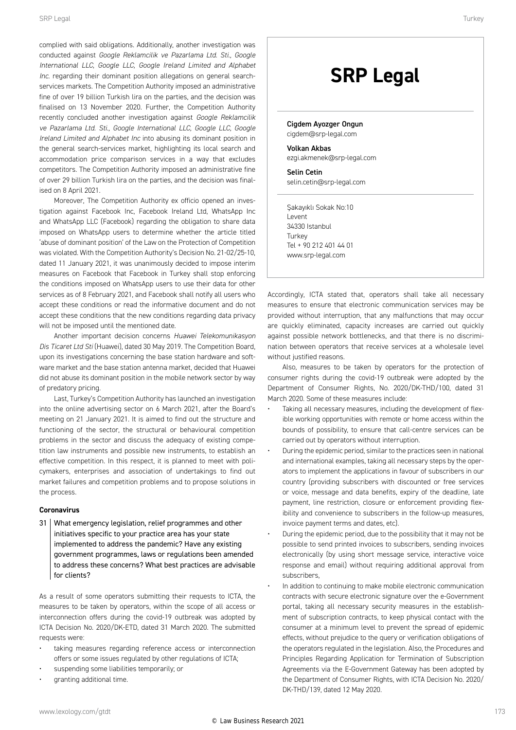complied with said obligations. Additionally, another investigation was conducted against *Google Reklamcilik ve Pazarlama Ltd. Sti., Google International LLC, Google LLC, Google Ireland Limited and Alphabet Inc*. regarding their dominant position allegations on general searchservices markets. The Competition Authority imposed an administrative fine of over 19 billion Turkish lira on the parties, and the decision was finalised on 13 November 2020. Further, the Competition Authority recently concluded another investigation against *Google Reklamcilik ve Pazarlama Ltd. Sti., Google International LLC, Google LLC, Google Ireland Limited and Alphabet Inc* into abusing its dominant position in the general search-services market, highlighting its local search and accommodation price comparison services in a way that excludes competitors. The Competition Authority imposed an administrative fine of over 29 billion Turkish lira on the parties, and the decision was finalised on 8 April 2021

Moreover, The Competition Authority ex officio opened an investigation against Facebook Inc, Facebook Ireland Ltd, WhatsApp Inc and WhatsApp LLC (Facebook) regarding the obligation to share data imposed on WhatsApp users to determine whether the article titled 'abuse of dominant position' of the Law on the Protection of Competition was violated. With the Competition Authority's Decision No. 21-02/25-10, dated 11 January 2021, it was unanimously decided to impose interim measures on Facebook that Facebook in Turkey shall stop enforcing the conditions imposed on WhatsApp users to use their data for other services as of 8 February 2021, and Facebook shall notify all users who accept these conditions or read the informative document and do not accept these conditions that the new conditions regarding data privacy will not be imposed until the mentioned date.

Another important decision concerns *Huawei Telekomunikasyon Dis Ticaret Ltd Sti* (Huawei), dated 30 May 2019. The Competition Board, upon its investigations concerning the base station hardware and software market and the base station antenna market, decided that Huawei did not abuse its dominant position in the mobile network sector by way of predatory pricing.

Last, Turkey's Competition Authority has launched an investigation into the online advertising sector on 6 March 2021, after the Board's meeting on 21 January 2021. It is aimed to find out the structure and functioning of the sector, the structural or behavioural competition problems in the sector and discuss the adequacy of existing competition law instruments and possible new instruments, to establish an effective competition. In this respect, it is planned to meet with policymakers, enterprises and association of undertakings to find out market failures and competition problems and to propose solutions in the process.

#### **Coronavirus**

31 What emergency legislation, relief programmes and other initiatives specific to your practice area has your state implemented to address the pandemic? Have any existing government programmes, laws or regulations been amended to address these concerns? What best practices are advisable for clients?

As a result of some operators submitting their requests to ICTA, the measures to be taken by operators, within the scope of all access or interconnection offers during the covid-19 outbreak was adopted by ICTA Decision No. 2020/DK-ETD, dated 31 March 2020. The submitted requests were:

- taking measures regarding reference access or interconnection offers or some issues regulated by other regulations of ICTA;
- suspending some liabilities temporarily; or
- granting additional time.

### **SRP Legal**

Cigdem Ayozger Ongun cigdem@srp-legal.com Volkan Akbas

ezgi.akmenek@srp-legal.com

Selin Cetin selin.cetin@srp-legal.com

Şakayıklı Sokak No:10 Levent 34330 Istanbul Turkey Tel + 90 212 401 44 01 www.srp-legal.com

Accordingly, ICTA stated that, operators shall take all necessary measures to ensure that electronic communication services may be provided without interruption, that any malfunctions that may occur are quickly eliminated, capacity increases are carried out quickly against possible network bottlenecks, and that there is no discrimination between operators that receive services at a wholesale level without justified reasons.

Also, measures to be taken by operators for the protection of consumer rights during the covid-19 outbreak were adopted by the Department of Consumer Rights, No. 2020/DK-THD/100, dated 31 March 2020. Some of these measures include:

- Taking all necessary measures, including the development of flexible working opportunities with remote or home access within the bounds of possibility, to ensure that call-centre services can be carried out by operators without interruption.
- During the epidemic period, similar to the practices seen in national and international examples, taking all necessary steps by the operators to implement the applications in favour of subscribers in our country (providing subscribers with discounted or free services or voice, message and data benefits, expiry of the deadline, late payment, line restriction, closure or enforcement providing flexibility and convenience to subscribers in the follow-up measures, invoice payment terms and dates, etc).
- During the epidemic period, due to the possibility that it may not be possible to send printed invoices to subscribers, sending invoices electronically (by using short message service, interactive voice response and email) without requiring additional approval from subscribers,
- In addition to continuing to make mobile electronic communication contracts with secure electronic signature over the e-Government portal, taking all necessary security measures in the establishment of subscription contracts, to keep physical contact with the consumer at a minimum level to prevent the spread of epidemic effects, without prejudice to the query or verification obligations of the operators regulated in the legislation. Also, the Procedures and Principles Regarding Application for Termination of Subscription Agreements via the E-Government Gateway has been adopted by the Department of Consumer Rights, with ICTA Decision No. 2020/ DK-THD/139, dated 12 May 2020.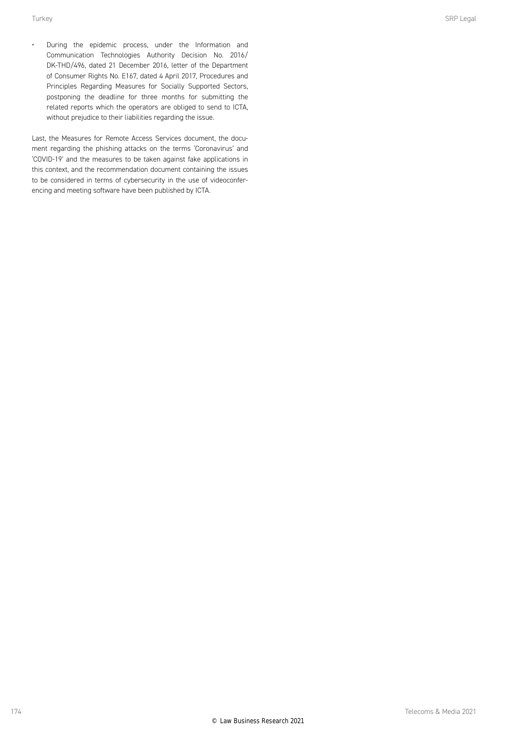• During the epidemic process, under the Information and Communication Technologies Authority Decision No. 2016/ DK-THD/496, dated 21 December 2016, letter of the Department of Consumer Rights No. E167, dated 4 April 2017, Procedures and Principles Regarding Measures for Socially Supported Sectors, postponing the deadline for three months for submitting the related reports which the operators are obliged to send to ICTA, without prejudice to their liabilities regarding the issue.

Last, the Measures for Remote Access Services document, the document regarding the phishing attacks on the terms 'Coronavirus' and 'COVID-19' and the measures to be taken against fake applications in this context, and the recommendation document containing the issues to be considered in terms of cybersecurity in the use of videoconferencing and meeting software have been published by ICTA.